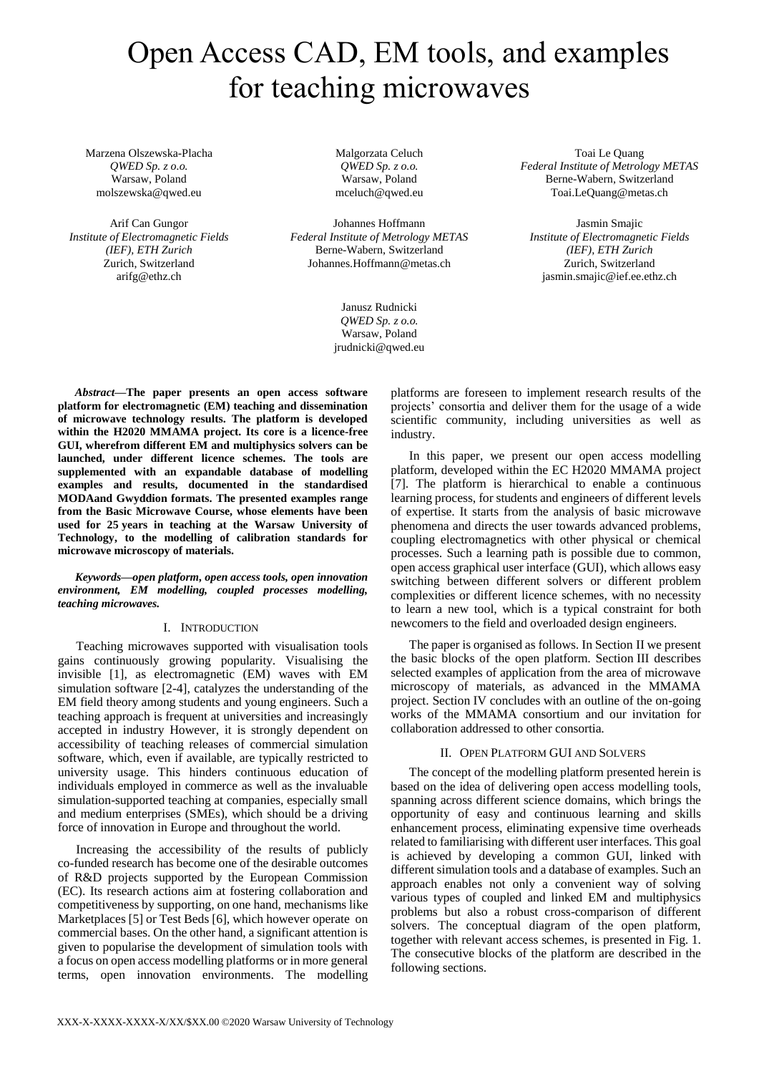# Open Access CAD, EM tools, and examples for teaching microwaves

Marzena Olszewska-Placha *QWED Sp. z o.o.* Warsaw, Poland molszewska@qwed.eu

Arif Can Gungor *Institute of Electromagnetic Fields (IEF), ETH Zurich* Zurich, Switzerland arifg@ethz.ch

Malgorzata Celuch *QWED Sp. z o.o.* Warsaw, Poland mceluch@qwed.eu

Johannes Hoffmann *Federal Institute of Metrology METAS* Berne-Wabern, Switzerland Johannes.Hoffmann@metas.ch

> Janusz Rudnicki *QWED Sp. z o.o.* Warsaw, Poland jrudnicki@qwed.eu

Toai Le Quang *Federal Institute of Metrology METAS* Berne-Wabern, Switzerland Toai.LeQuang@metas.ch

Jasmin Smajic *Institute of Electromagnetic Fields (IEF), ETH Zurich* Zurich, Switzerland jasmin.smajic@ief.ee.ethz.ch

*Abstract***—The paper presents an open access software platform for electromagnetic (EM) teaching and dissemination of microwave technology results. The platform is developed within the H2020 MMAMA project. Its core is a licence-free GUI, wherefrom different EM and multiphysics solvers can be launched, under different licence schemes. The tools are supplemented with an expandable database of modelling examples and results, documented in the standardised MODAand Gwyddion formats. The presented examples range from the Basic Microwave Course, whose elements have been used for 25 years in teaching at the Warsaw University of Technology, to the modelling of calibration standards for microwave microscopy of materials.**

*Keywords—open platform, open access tools, open innovation environment, EM modelling, coupled processes modelling, teaching microwaves.*

# I. INTRODUCTION

Teaching microwaves supported with visualisation tools gains continuously growing popularity. Visualising the invisible [1], as electromagnetic (EM) waves with EM simulation software [2-4], catalyzes the understanding of the EM field theory among students and young engineers. Such a teaching approach is frequent at universities and increasingly accepted in industry However, it is strongly dependent on accessibility of teaching releases of commercial simulation software, which, even if available, are typically restricted to university usage. This hinders continuous education of individuals employed in commerce as well as the invaluable simulation-supported teaching at companies, especially small and medium enterprises (SMEs), which should be a driving force of innovation in Europe and throughout the world.

Increasing the accessibility of the results of publicly co-funded research has become one of the desirable outcomes of R&D projects supported by the European Commission (EC). Its research actions aim at fostering collaboration and competitiveness by supporting, on one hand, mechanisms like Marketplaces [5] or Test Beds [6], which however operate on commercial bases. On the other hand, a significant attention is given to popularise the development of simulation tools with a focus on open access modelling platforms or in more general terms, open innovation environments. The modelling

platforms are foreseen to implement research results of the projects' consortia and deliver them for the usage of a wide scientific community, including universities as well as industry.

In this paper, we present our open access modelling platform, developed within the EC H2020 MMAMA project [7]. The platform is hierarchical to enable a continuous learning process, for students and engineers of different levels of expertise. It starts from the analysis of basic microwave phenomena and directs the user towards advanced problems, coupling electromagnetics with other physical or chemical processes. Such a learning path is possible due to common, open access graphical user interface (GUI), which allows easy switching between different solvers or different problem complexities or different licence schemes, with no necessity to learn a new tool, which is a typical constraint for both newcomers to the field and overloaded design engineers.

The paper is organised as follows. In Section II we present the basic blocks of the open platform. Section III describes selected examples of application from the area of microwave microscopy of materials, as advanced in the MMAMA project. Section IV concludes with an outline of the on-going works of the MMAMA consortium and our invitation for collaboration addressed to other consortia.

# II. OPEN PLATFORM GUI AND SOLVERS

The concept of the modelling platform presented herein is based on the idea of delivering open access modelling tools, spanning across different science domains, which brings the opportunity of easy and continuous learning and skills enhancement process, eliminating expensive time overheads related to familiarising with different user interfaces. This goal is achieved by developing a common GUI, linked with different simulation tools and a database of examples. Such an approach enables not only a convenient way of solving various types of coupled and linked EM and multiphysics problems but also a robust cross-comparison of different solvers. The conceptual diagram of the open platform, together with relevant access schemes, is presented in Fig. 1. The consecutive blocks of the platform are described in the following sections.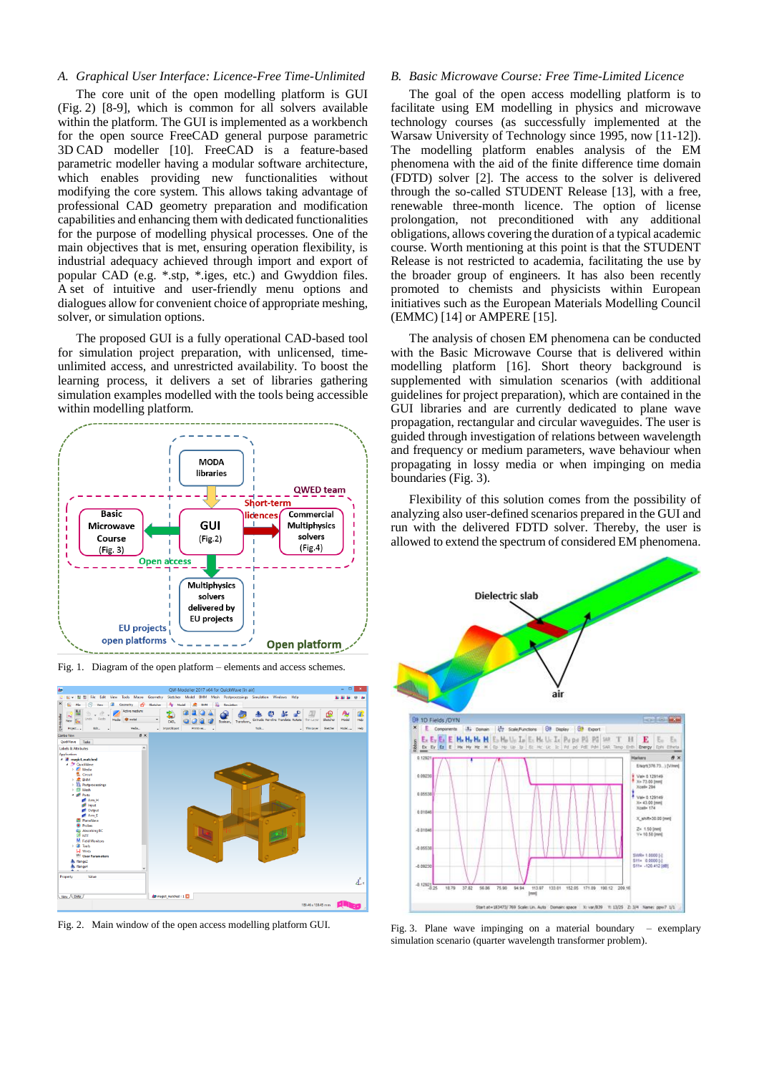# *A. Graphical User Interface: Licence-Free Time-Unlimited*

The core unit of the open modelling platform is GUI (Fig. 2) [8-9], which is common for all solvers available within the platform. The GUI is implemented as a workbench for the open source FreeCAD general purpose parametric 3D CAD modeller [10]. FreeCAD is a feature-based parametric modeller having a modular software architecture, which enables providing new functionalities without modifying the core system. This allows taking advantage of professional CAD geometry preparation and modification capabilities and enhancing them with dedicated functionalities for the purpose of modelling physical processes. One of the main objectives that is met, ensuring operation flexibility, is industrial adequacy achieved through import and export of popular CAD (e.g. \*.stp, \*.iges, etc.) and Gwyddion files. A set of intuitive and user-friendly menu options and dialogues allow for convenient choice of appropriate meshing, solver, or simulation options.

The proposed GUI is a fully operational CAD-based tool for simulation project preparation, with unlicensed, timeunlimited access, and unrestricted availability. To boost the learning process, it delivers a set of libraries gathering simulation examples modelled with the tools being accessible within modelling platform.



Fig. 1. Diagram of the open platform – elements and access schemes.



Fig. 2. Main window of the open access modelling platform GUI.

# *B. Basic Microwave Course: Free Time-Limited Licence*

The goal of the open access modelling platform is to facilitate using EM modelling in physics and microwave technology courses (as successfully implemented at the Warsaw University of Technology since 1995, now [11-12]). The modelling platform enables analysis of the EM phenomena with the aid of the finite difference time domain (FDTD) solver [2]. The access to the solver is delivered through the so-called STUDENT Release [13], with a free, renewable three-month licence. The option of license prolongation, not preconditioned with any additional obligations, allows covering the duration of a typical academic course. Worth mentioning at this point is that the STUDENT Release is not restricted to academia, facilitating the use by the broader group of engineers. It has also been recently promoted to chemists and physicists within European initiatives such as the European Materials Modelling Council (EMMC) [14] or AMPERE [15].

The analysis of chosen EM phenomena can be conducted with the Basic Microwave Course that is delivered within modelling platform [16]. Short theory background is supplemented with simulation scenarios (with additional guidelines for project preparation), which are contained in the GUI libraries and are currently dedicated to plane wave propagation, rectangular and circular waveguides. The user is guided through investigation of relations between wavelength and frequency or medium parameters, wave behaviour when propagating in lossy media or when impinging on media boundaries (Fig. 3).

Flexibility of this solution comes from the possibility of analyzing also user-defined scenarios prepared in the GUI and run with the delivered FDTD solver. Thereby, the user is allowed to extend the spectrum of considered EM phenomena.

![](_page_1_Figure_11.jpeg)

Fig. 3. Plane wave impinging on a material boundary – exemplary simulation scenario (quarter wavelength transformer problem).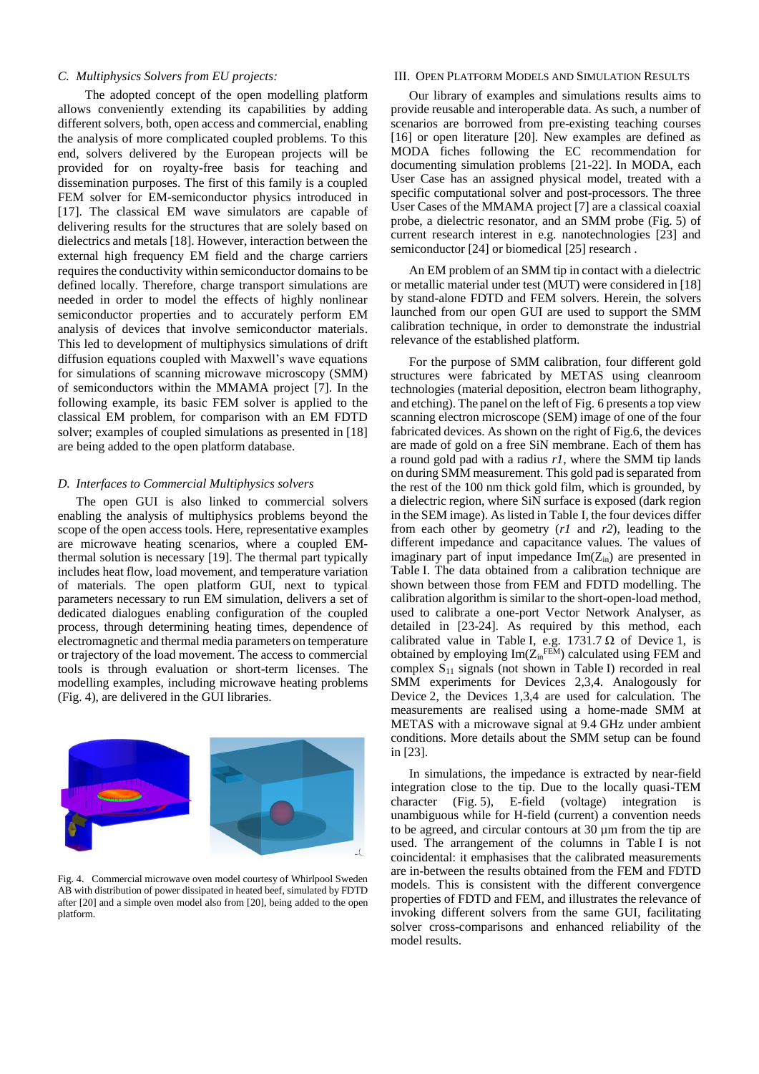#### *C. Multiphysics Solvers from EU projects:*

The adopted concept of the open modelling platform allows conveniently extending its capabilities by adding different solvers, both, open access and commercial, enabling the analysis of more complicated coupled problems. To this end, solvers delivered by the European projects will be provided for on royalty-free basis for teaching and dissemination purposes. The first of this family is a coupled FEM solver for EM-semiconductor physics introduced in [17]. The classical EM wave simulators are capable of delivering results for the structures that are solely based on dielectrics and metals [18]. However, interaction between the external high frequency EM field and the charge carriers requires the conductivity within semiconductor domains to be defined locally. Therefore, charge transport simulations are needed in order to model the effects of highly nonlinear semiconductor properties and to accurately perform EM analysis of devices that involve semiconductor materials. This led to development of multiphysics simulations of drift diffusion equations coupled with Maxwell's wave equations for simulations of scanning microwave microscopy (SMM) of semiconductors within the MMAMA project [7]. In the following example, its basic FEM solver is applied to the classical EM problem, for comparison with an EM FDTD solver; examples of coupled simulations as presented in [18] are being added to the open platform database.

#### *D. Interfaces to Commercial Multiphysics solvers*

The open GUI is also linked to commercial solvers enabling the analysis of multiphysics problems beyond the scope of the open access tools. Here, representative examples are microwave heating scenarios, where a coupled EMthermal solution is necessary [19]. The thermal part typically includes heat flow, load movement, and temperature variation of materials. The open platform GUI, next to typical parameters necessary to run EM simulation, delivers a set of dedicated dialogues enabling configuration of the coupled process, through determining heating times, dependence of electromagnetic and thermal media parameters on temperature or trajectory of the load movement. The access to commercial tools is through evaluation or short-term licenses. The modelling examples, including microwave heating problems (Fig. 4), are delivered in the GUI libraries.

![](_page_2_Figure_4.jpeg)

Fig. 4. Commercial microwave oven model courtesy of Whirlpool Sweden AB with distribution of power dissipated in heated beef, simulated by FDTD after [20] and a simple oven model also from [20], being added to the open platform.

# III. OPEN PLATFORM MODELS AND SIMULATION RESULTS

Our library of examples and simulations results aims to provide reusable and interoperable data. As such, a number of scenarios are borrowed from pre-existing teaching courses [16] or open literature [20]. New examples are defined as MODA fiches following the EC recommendation for documenting simulation problems [21-22]. In MODA, each User Case has an assigned physical model, treated with a specific computational solver and post-processors. The three User Cases of the MMAMA project [7] are a classical coaxial probe, a dielectric resonator, and an SMM probe (Fig. 5) of current research interest in e.g. nanotechnologies [23] and semiconductor [24] or biomedical [25] research .

An EM problem of an SMM tip in contact with a dielectric or metallic material under test (MUT) were considered in [18] by stand-alone FDTD and FEM solvers. Herein, the solvers launched from our open GUI are used to support the SMM calibration technique, in order to demonstrate the industrial relevance of the established platform.

For the purpose of SMM calibration, four different gold structures were fabricated by METAS using cleanroom technologies (material deposition, electron beam lithography, and etching). The panel on the left of Fig. 6 presents a top view scanning electron microscope (SEM) image of one of the four fabricated devices. As shown on the right of Fig.6, the devices are made of gold on a free SiN membrane. Each of them has a round gold pad with a radius *r1*, where the SMM tip lands on during SMM measurement. This gold pad is separated from the rest of the 100 nm thick gold film, which is grounded, by a dielectric region, where SiN surface is exposed (dark region in the SEM image). As listed in Table I, the four devices differ from each other by geometry (*r1* and *r2*), leading to the different impedance and capacitance values. The values of imaginary part of input impedance  $Im(Z_{in})$  are presented in Table I. The data obtained from a calibration technique are shown between those from FEM and FDTD modelling. The calibration algorithm is similar to the short-open-load method, used to calibrate a one-port Vector Network Analyser, as detailed in [23-24]. As required by this method, each calibrated value in Table I, e.g.  $1731.7 \Omega$  of Device 1, is obtained by employing  $\text{Im}(Z_{\text{in}}^{\text{FEM}})$  calculated using FEM and complex  $S_{11}$  signals (not shown in Table I) recorded in real SMM experiments for Devices 2,3,4. Analogously for Device 2, the Devices 1,3,4 are used for calculation. The measurements are realised using a home-made SMM at METAS with a microwave signal at 9.4 GHz under ambient conditions. More details about the SMM setup can be found in [23].

In simulations, the impedance is extracted by near-field integration close to the tip. Due to the locally quasi-TEM character (Fig. 5), E-field (voltage) integration is unambiguous while for H-field (current) a convention needs to be agreed, and circular contours at 30 µm from the tip are used. The arrangement of the columns in Table I is not coincidental: it emphasises that the calibrated measurements are in-between the results obtained from the FEM and FDTD models. This is consistent with the different convergence properties of FDTD and FEM, and illustrates the relevance of invoking different solvers from the same GUI, facilitating solver cross-comparisons and enhanced reliability of the model results.